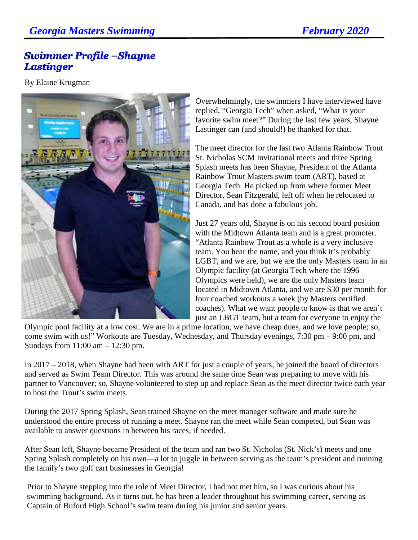## **Swimmer Profile -Shayne Lastinger**

By Elaine Krugman



Overwhelmingly, the swimmers I have interviewed have replied, "Georgia Tech" when asked, "What is your favorite swim meet?" During the last few years, Shayne Lastinger can (and should!) be thanked for that.

The meet director for the last two Atlanta Rainbow Trout St. Nicholas SCM Invitational meets and three Spring Splash meets has been Shayne, President of the Atlanta Rainbow Trout Masters swim team (ART), based at Georgia Tech. He picked up from where former Meet Director, Sean Fitzgerald, left off when he relocated to Canada, and has done a fabulous job.

Just 27 years old, Shayne is on his second board position with the Midtown Atlanta team and is a great promoter. "Atlanta Rainbow Trout as a whole is a very inclusive team. You hear the name, and you think it's probably LGBT, and we are, but we are the only Masters team in an Olympic facility (at Georgia Tech where the 1996 Olympics were held), we are the only Masters team located in Midtown Atlanta, and we are \$30 per month for four coached workouts a week (by Masters certified coaches). What we want people to know is that we aren't just an LBGT team, but a team for everyone to enjoy the

Olympic pool facility at a low cost. We are in a prime location, we have cheap dues, and we love people; so, come swim with us!" Workouts are Tuesday, Wednesday, and Thursday evenings, 7:30 pm – 9:00 pm, and Sundays from 11:00 am – 12:30 pm.

In 2017 – 2018, when Shayne had been with ART for just a couple of years, he joined the board of directors and served as Swim Team Director. This was around the same time Sean was preparing to move with his partner to Vancouver; so, Shayne volunteered to step up and replace Sean as the meet director twice each year to host the Trout's swim meets.

During the 2017 Spring Splash, Sean trained Shayne on the meet manager software and made sure he understood the entire process of running a meet. Shayne ran the meet while Sean competed, but Sean was available to answer questions in between his races, if needed.

After Sean left, Shayne became President of the team and ran two St. Nicholas (St. Nick's) meets and one Spring Splash completely on his own—a lot to juggle in between serving as the team's president and running the family's two golf cart businesses in Georgia!

Prior to Shayne stepping into the role of Meet Director, I had not met him, so I was curious about his swimming background. As it turns out, he has been a leader throughout his swimming career, serving as Captain of Buford High School's swim team during his junior and senior years.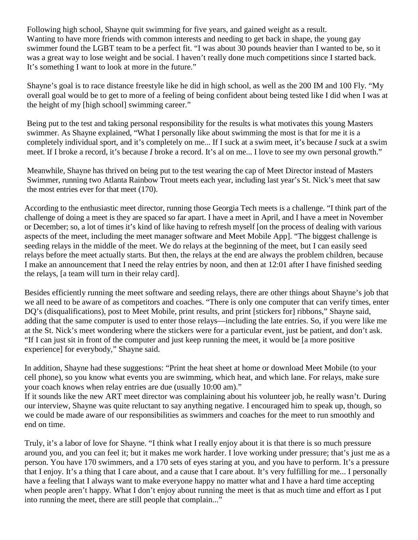Following high school, Shayne quit swimming for five years, and gained weight as a result. Wanting to have more friends with common interests and needing to get back in shape, the young gay swimmer found the LGBT team to be a perfect fit. "I was about 30 pounds heavier than I wanted to be, so it was a great way to lose weight and be social. I haven't really done much competitions since I started back. It's something I want to look at more in the future."

Shayne's goal is to race distance freestyle like he did in high school, as well as the 200 IM and 100 Fly. "My overall goal would be to get to more of a feeling of being confident about being tested like I did when I was at the height of my [high school] swimming career."

Being put to the test and taking personal responsibility for the results is what motivates this young Masters swimmer. As Shayne explained, "What I personally like about swimming the most is that for me it is a completely individual sport, and it's completely on me... If I suck at a swim meet, it's because *I* suck at a swim meet. If I broke a record, it's because *I* broke a record. It's al on me... I love to see my own personal growth."

Meanwhile, Shayne has thrived on being put to the test wearing the cap of Meet Director instead of Masters Swimmer, running two Atlanta Rainbow Trout meets each year, including last year's St. Nick's meet that saw the most entries ever for that meet (170).

According to the enthusiastic meet director, running those Georgia Tech meets is a challenge. "I think part of the challenge of doing a meet is they are spaced so far apart. I have a meet in April, and I have a meet in November or December; so, a lot of times it's kind of like having to refresh myself [on the process of dealing with various aspects of the meet, including the meet manager software and Meet Mobile App]. "The biggest challenge is seeding relays in the middle of the meet. We do relays at the beginning of the meet, but I can easily seed relays before the meet actually starts. But then, the relays at the end are always the problem children, because I make an announcement that I need the relay entries by noon, and then at 12:01 after I have finished seeding the relays, [a team will turn in their relay card].

Besides efficiently running the meet software and seeding relays, there are other things about Shayne's job that we all need to be aware of as competitors and coaches. "There is only one computer that can verify times, enter DQ's (disqualifications), post to Meet Mobile, print results, and print [stickers for] ribbons," Shayne said, adding that the same computer is used to enter those relays—including the late entries. So, if you were like me at the St. Nick's meet wondering where the stickers were for a particular event, just be patient, and don't ask. "If I can just sit in front of the computer and just keep running the meet, it would be [a more positive experience] for everybody," Shayne said.

In addition, Shayne had these suggestions: "Print the heat sheet at home or download Meet Mobile (to your cell phone), so you know what events you are swimming, which heat, and which lane. For relays, make sure your coach knows when relay entries are due (usually 10:00 am)."

If it sounds like the new ART meet director was complaining about his volunteer job, he really wasn't. During our interview, Shayne was quite reluctant to say anything negative. I encouraged him to speak up, though, so we could be made aware of our responsibilities as swimmers and coaches for the meet to run smoothly and end on time.

Truly, it's a labor of love for Shayne. "I think what I really enjoy about it is that there is so much pressure around you, and you can feel it; but it makes me work harder. I love working under pressure; that's just me as a person. You have 170 swimmers, and a 170 sets of eyes staring at you, and you have to perform. It's a pressure that I enjoy. It's a thing that I care about, and a cause that I care about. It's very fulfilling for me... I personally have a feeling that I always want to make everyone happy no matter what and I have a hard time accepting when people aren't happy. What I don't enjoy about running the meet is that as much time and effort as I put into running the meet, there are still people that complain..."